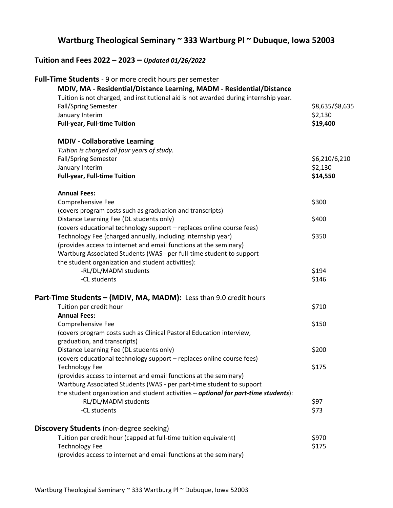## **Wartburg Theological Seminary ~ 333 Wartburg Pl ~ Dubuque, Iowa 52003**

## **Tuition and Fees 2022 – 2023 –** *Updated 01/26/2022*

| Full-Time Students - 9 or more credit hours per semester                             |                 |
|--------------------------------------------------------------------------------------|-----------------|
| MDIV, MA - Residential/Distance Learning, MADM - Residential/Distance                |                 |
| Tuition is not charged, and institutional aid is not awarded during internship year. |                 |
| <b>Fall/Spring Semester</b>                                                          | \$8,635/\$8,635 |
| January Interim                                                                      | \$2,130         |
| <b>Full-year, Full-time Tuition</b>                                                  | \$19,400        |
| <b>MDIV - Collaborative Learning</b>                                                 |                 |
| Tuition is charged all four years of study.                                          |                 |
| <b>Fall/Spring Semester</b>                                                          | \$6,210/6,210   |
| January Interim                                                                      | \$2,130         |
| <b>Full-year, Full-time Tuition</b>                                                  | \$14,550        |
| <b>Annual Fees:</b>                                                                  |                 |
| Comprehensive Fee                                                                    | \$300           |
| (covers program costs such as graduation and transcripts)                            |                 |
| Distance Learning Fee (DL students only)                                             | \$400           |
| (covers educational technology support - replaces online course fees)                |                 |
| Technology Fee (charged annually, including internship year)                         | \$350           |
| (provides access to internet and email functions at the seminary)                    |                 |
| Wartburg Associated Students (WAS - per full-time student to support                 |                 |
| the student organization and student activities):                                    |                 |
| -RL/DL/MADM students                                                                 | \$194           |
| -CL students                                                                         | \$146           |
| Part-Time Students - (MDIV, MA, MADM): Less than 9.0 credit hours                    |                 |
| Tuition per credit hour                                                              | \$710           |
| <b>Annual Fees:</b>                                                                  |                 |
| Comprehensive Fee                                                                    | \$150           |
| (covers program costs such as Clinical Pastoral Education interview,                 |                 |
| graduation, and transcripts)                                                         |                 |
| Distance Learning Fee (DL students only)                                             | \$200           |
| (covers educational technology support - replaces online course fees)                |                 |
| <b>Technology Fee</b>                                                                | \$175           |
| (provides access to internet and email functions at the seminary)                    |                 |
| Wartburg Associated Students (WAS - per part-time student to support                 |                 |
| the student organization and student activities - optional for part-time students):  |                 |
| -RL/DL/MADM students                                                                 | \$97            |
| -CL students                                                                         | \$73            |
| <b>Discovery Students</b> (non-degree seeking)                                       |                 |
| Tuition per credit hour (capped at full-time tuition equivalent)                     | \$970           |
| <b>Technology Fee</b>                                                                | \$175           |
| (provides access to internet and email functions at the seminary)                    |                 |